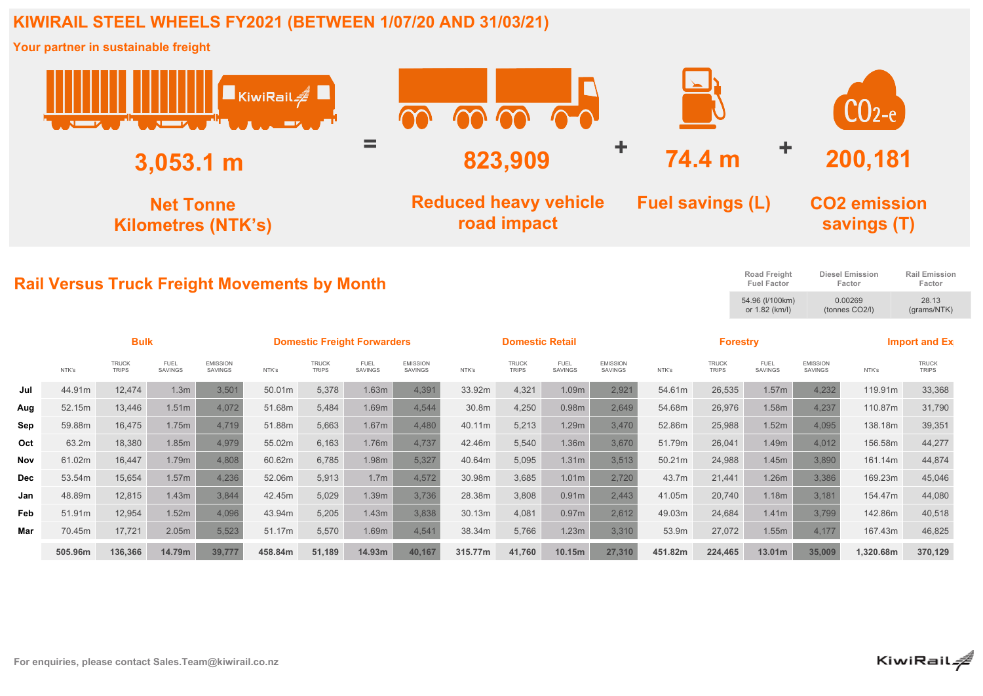## **KIWIRAIL STEEL WHEELS FY2021 (BETWEEN 1/07/20 AND 31/03/21)**

**Your partner in sustainable freight**

|            |                                               |                              | <b>Allen Harry Company of the Company of the Company of the Company of the Company of the Company of the Company of the Company of the Company of the Company of the Company of the Company of the Company of the Company of the</b> |                                   | KiwiRail#                                           |                              |                               |                                             | mm                     |                              |                               |                                   |                         |                                   |                                           |                                    | $CO$ 2-e                                          |                                |  |
|------------|-----------------------------------------------|------------------------------|--------------------------------------------------------------------------------------------------------------------------------------------------------------------------------------------------------------------------------------|-----------------------------------|-----------------------------------------------------|------------------------------|-------------------------------|---------------------------------------------|------------------------|------------------------------|-------------------------------|-----------------------------------|-------------------------|-----------------------------------|-------------------------------------------|------------------------------------|---------------------------------------------------|--------------------------------|--|
|            | $3,053.1 \; m$                                |                              |                                                                                                                                                                                                                                      |                                   |                                                     |                              |                               |                                             | 823,909                |                              |                               |                                   | ÷<br>Ť<br>74.4 m        |                                   |                                           |                                    | 200,181                                           |                                |  |
|            | <b>Net Tonne</b><br><b>Kilometres (NTK's)</b> |                              |                                                                                                                                                                                                                                      |                                   |                                                     |                              |                               | <b>Reduced heavy vehicle</b><br>road impact |                        |                              |                               |                                   | <b>Fuel savings (L)</b> |                                   |                                           | <b>CO2 emission</b><br>savings (T) |                                                   |                                |  |
|            |                                               |                              |                                                                                                                                                                                                                                      |                                   | <b>Rail Versus Truck Freight Movements by Month</b> |                              |                               |                                             |                        |                              |                               |                                   |                         |                                   | <b>Road Freight</b><br><b>Fuel Factor</b> |                                    | <b>Diesel Emission</b><br>Factor                  | <b>Rail Emission</b><br>Factor |  |
|            |                                               |                              |                                                                                                                                                                                                                                      |                                   |                                                     |                              |                               |                                             |                        |                              |                               |                                   |                         | 54.96 (I/100km)<br>or 1.82 (km/l) |                                           |                                    | 0.00269<br>28.13<br>(tonnes CO2/I)<br>(grams/NTK) |                                |  |
|            |                                               | <b>Bulk</b>                  |                                                                                                                                                                                                                                      |                                   | <b>Domestic Freight Forwarders</b>                  |                              |                               |                                             | <b>Domestic Retail</b> |                              |                               |                                   | <b>Forestry</b>         |                                   |                                           | <b>Import and Ex</b>               |                                                   |                                |  |
|            | NTK's                                         | <b>TRUCK</b><br><b>TRIPS</b> | <b>FUEL</b><br>SAVINGS                                                                                                                                                                                                               | <b>EMISSION</b><br><b>SAVINGS</b> | NTK's                                               | <b>TRUCK</b><br><b>TRIPS</b> | <b>FUEL</b><br><b>SAVINGS</b> | <b>EMISSION</b><br>SAVINGS                  | NTK's                  | <b>TRUCK</b><br><b>TRIPS</b> | <b>FUEL</b><br><b>SAVINGS</b> | <b>EMISSION</b><br><b>SAVINGS</b> | NTK's                   | <b>TRUCK</b><br><b>TRIPS</b>      | <b>FUEL</b><br><b>SAVINGS</b>             | <b>EMISSION</b><br><b>SAVINGS</b>  | NTK's                                             | <b>TRUCK</b><br><b>TRIPS</b>   |  |
| Jul        | 44.91m                                        | 12,474                       | 1.3m                                                                                                                                                                                                                                 | 3,501                             | 50.01m                                              | 5,378                        | 1.63m                         | 4,391                                       | 33.92m                 | 4,321                        | 1.09m                         | 2,921                             | 54.61m                  | 26,535                            | 1.57m                                     | 4,232                              | 119.91m                                           | 33,368                         |  |
| Aug        | 52.15m                                        | 13,446                       | 1.51m                                                                                                                                                                                                                                | 4,072                             | 51.68m                                              | 5.484                        | 1.69m                         | 4,544                                       | 30.8m                  | 4,250                        | 0.98m                         | 2,649                             | 54.68m                  | 26,976                            | 1.58m                                     | 4,237                              | 110.87m                                           | 31,790                         |  |
| Sep        | 59.88m                                        | 16,475                       | 1.75m                                                                                                                                                                                                                                | 4,719                             | 51.88m                                              | 5.663                        | 1.67 <sub>m</sub>             | 4,480                                       | 40.11m                 | 5.213                        | 1.29m                         | 3,470                             | 52.86m                  | 25.988                            | 1.52m                                     | 4,095                              | 138.18m                                           | 39,351                         |  |
| Oct        | 63.2m                                         | 18,380                       | 1.85m                                                                                                                                                                                                                                | 4,979                             | 55.02m                                              | 6,163                        | 1.76m                         | 4,737                                       | 42.46m                 | 5,540                        | 1.36m                         | 3,670                             | 51.79m                  | 26,041                            | 1.49m                                     | 4,012                              | 156.58m                                           | 44,277                         |  |
| Nov        | 61.02m                                        | 16,447                       | 1.79m                                                                                                                                                                                                                                | 4,808                             | 60.62m                                              | 6,785                        | 1.98m                         | 5,327                                       | 40.64m                 | 5,095                        | 1.31m                         | 3,513                             | 50.21m                  | 24,988                            | 1.45m                                     | 3,890                              | 161.14m                                           | 44,874                         |  |
| <b>Dec</b> | 53.54m                                        | 15,654                       | 1.57m                                                                                                                                                                                                                                | 4,236                             | 52.06m                                              | 5,913                        | 1.7 <sub>m</sub>              | 4,572                                       | 30.98m                 | 3,685                        | 1.01 <sub>m</sub>             | 2,720                             | 43.7m                   | 21,441                            | 1.26m                                     | 3,386                              | 169.23m                                           | 45,046                         |  |
| Jan        | 48.89m                                        | 12,815                       | 1.43m                                                                                                                                                                                                                                | 3,844                             | 42.45m                                              | 5,029                        | 1.39m                         | 3,736                                       | 28.38m                 | 3,808                        | 0.91m                         | 2,443                             | 41.05m                  | 20,740                            | 1.18m                                     | 3,181                              | 154.47m                                           | 44,080                         |  |
| Feb        | 51.91m                                        | 12,954                       | 1.52m                                                                                                                                                                                                                                | 4,096                             | 43.94m                                              | 5,205                        | 1.43m                         | 3,838                                       | 30.13m                 | 4,081                        | 0.97m                         | 2,612                             | 49.03m                  | 24,684                            | 1.41m                                     | 3,799                              | 142.86m                                           | 40,518                         |  |
| Mar        | 70.45m                                        | 17,721                       | 2.05m                                                                                                                                                                                                                                | 5,523                             | 51.17m                                              | 5,570                        | 1.69m                         | 4,541                                       | 38.34m                 | 5,766                        | 1.23m                         | 3,310                             | 53.9m                   | 27,072                            | 1.55m                                     | 4,177                              | 167.43m                                           | 46,825                         |  |
|            | 505.96m                                       | 136,366                      | 14.79m                                                                                                                                                                                                                               | 39,777                            | 458.84m                                             | 51,189                       | 14.93m                        | 40,167                                      | 315.77m                | 41,760                       | 10.15m                        | 27,310                            | 451.82m                 | 224,465                           | 13.01m                                    | 35,009                             | 1,320.68m                                         | 370,129                        |  |